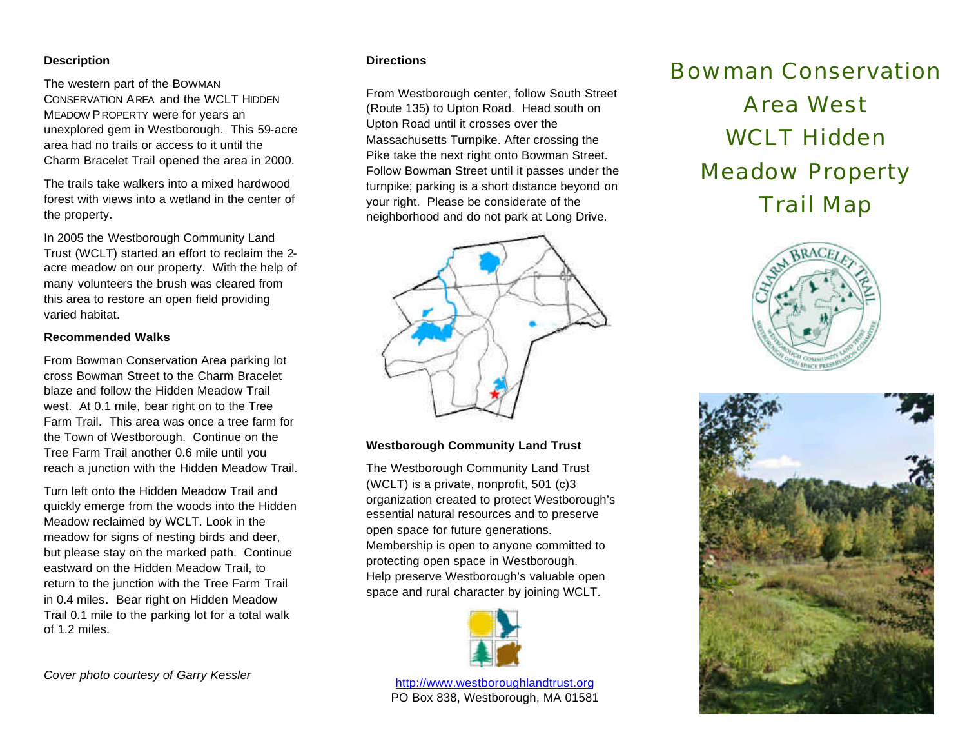## **Description**

The western part of the BOWMAN CONSERVATION AREA and the WCLT HIDDEN MEADOW PROPERTY were for years an unexplored gem in Westborough. This 59-acre area had no trails or access to it until the Charm Bracelet Trail opened the area in 2000.

The trails take walkers into a mixed hardwood forest with views into a wetland in the center of the property.

In 2005 the Westborough Community Land Trust (WCLT) started an effort to reclaim the 2 acre meadow on our property. With the help of many volunteers the brush was cleared from this area to restore an open field providing varied habitat.

## **Recommended Walks**

From Bowman Conservation Area parking lot cross Bowman Street to the Charm Bracelet blaze and follow the Hidden Meadow Trail west. At 0.1 mile, bear right on to the Tree Farm Trail. This area was once a tree farm for the Town of Westborough. Continue on the Tree Farm Trail another 0.6 mile until you reach a junction with the Hidden Meadow Trail.

Turn left onto the Hidden Meadow Trail and quickly emerge from the woods into the Hidden Meadow reclaimed by WCLT. Look in the meadow for signs of nesting birds and deer, but please stay on the marked path. Continue eastward on the Hidden Meadow Trail, to return to the junction with the Tree Farm Trail in 0.4 miles. Bear right on Hidden Meadow Trail 0.1 mile to the parking lot for a total walk of 1.2 miles.

#### **Directions**

From Westborough center, follow South Street (Route 135) to Upton Road. Head south on Upton Road until it crosses over the Massachusetts Turnpike. After crossing the Pike take the next right onto Bowman Street. Follow Bowman Street until it passes under the turnpike; parking is a short distance beyond on your right. Please be considerate of the neighborhood and do not park at Long Drive.



## **Westborough Community Land Trust**

The Westborough Community Land Trust (WCLT) is a private, nonprofit, 501 (c)3 organization created to protect Westborough's essential natural resources and to preserve open space for future generations. Membership is open to anyone committed to protecting open space in Westborough. Help preserve Westborough's valuable open space and rural character by joining WCLT.



http://www.westboroughlandtrust.org PO Box 838, Westborough, MA 01581

# Bowman Conservation Area West WCLT Hidden Meadow Property Trail Map





*Cover photo courtesy of Garry Kessler*